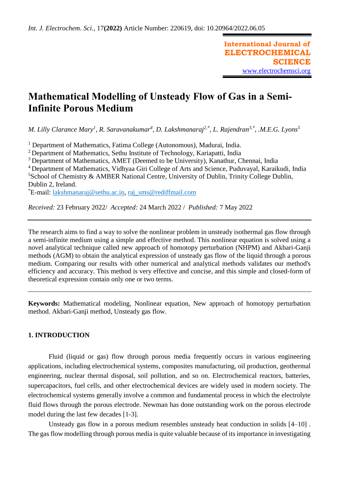**International Journal of ELECTROCHEMICAL SCIENCE** [www.electrochemsci.org](http://www.electrochemsci.org/)

# **Mathematical Modelling of Unsteady Flow of Gas in a Semi-Infinite Porous Medium**

*M. Lilly Clarance Mary<sup>1</sup> , R. Saravanakumar<sup>4</sup> , D. Lakshmanaraj2,\*, L. Rajendran 3,\* , .M.E.G. Lyons<sup>5</sup>*

<sup>1</sup> Department of Mathematics, Fatima College (Autonomous), Madurai, India.

<sup>2</sup> Department of Mathematics, Sethu Institute of Technology, Kariapatti, India

<sup>3</sup> Department of Mathematics, AMET (Deemed to be University), Kanathur, Chennai, India

<sup>4</sup>Department of Mathematics, Vidhyaa Giri College of Arts and Science, Puduvayal, Karaikudi, India  $5$ School of Chemistry & AMBER National Centre, University of Dublin, Trinity College Dublin, Dublin 2, Ireland.

\*E-mail: [lakshmanaraj@sethu.ac.in,](mailto:lakshmanaraj@sethu.ac.in) [raj\\_sms@rediffmail.com](mailto:raj_sms@rediffmail.com)

*Received:* 23 February 2022/ *Accepted:* 24 March 2022 / *Published:* 7 May 2022

The research aims to find a way to solve the nonlinear problem in unsteady isothermal gas flow through a semi-infinite medium using a simple and effective method. This nonlinear equation is solved using a novel analytical technique called new approach of homotopy perturbation (NHPM) and Akbari-Ganji methods (AGM) to obtain the analytical expression of unsteady gas flow of the liquid through a porous medium. Comparing our results with other numerical and analytical methods validates our method's efficiency and accuracy. This method is very effective and concise, and this simple and closed-form of theoretical expression contain only one or two terms.

**Keywords:** Mathematical modeling, Nonlinear equation, New approach of homotopy perturbation method. Akbari-Ganji method, Unsteady gas flow.

## **1. INTRODUCTION**

Fluid (liquid or gas) flow through porous media frequently occurs in various engineering applications, including electrochemical systems, composites manufacturing, oil production, geothermal engineering, nuclear thermal disposal, soil pollution, and so on. Electrochemical reactors, batteries, supercapacitors, fuel cells, and other electrochemical devices are widely used in modern society. The electrochemical systems generally involve a common and fundamental process in which the electrolyte fluid flows through the porous electrode. Newman has done outstanding work on the porous electrode model during the last few decades [1-3].

Unsteady gas flow in a porous medium resembles unsteady heat conduction in solids [4–10] . The gas flow modelling through porous media is quite valuable because of its importance in investigating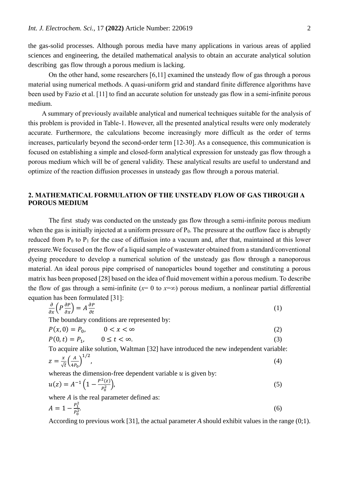the gas-solid processes. Although porous media have many applications in various areas of applied sciences and engineering, the detailed mathematical analysis to obtain an accurate analytical solution describing gas flow through a porous medium is lacking.

On the other hand, some researchers [6,11] examined the unsteady flow of gas through a porous material using numerical methods. A quasi-uniform grid and standard finite difference algorithms have been used by Fazio et al. [11] to find an accurate solution for unsteady gas flow in a semi-infinite porous medium.

A summary of previously available analytical and numerical techniques suitable for the analysis of this problem is provided in Table-1. However, all the presented analytical results were only moderately accurate. Furthermore, the calculations become increasingly more difficult as the order of terms increases, particularly beyond the second-order term [12-30]. As a consequence, this communication is focused on establishing a simple and closed-form analytical expression for unsteady gas flow through a porous medium which will be of general validity. These analytical results are useful to understand and optimize of the reaction diffusion processes in unsteady gas flow through a porous material.

## **2. MATHEMATICAL FORMULATION OF THE UNSTEADY FLOW OF GAS THROUGH A POROUS MEDIUM**

The first study was conducted on the unsteady gas flow through a semi-infinite porous medium when the gas is initially injected at a uniform pressure of  $P_0$ . The pressure at the outflow face is abruptly reduced from  $P_0$  to  $P_1$  for the case of diffusion into a vacuum and, after that, maintained at this lower pressure.We focused on the flow of a liquid sample of wastewater obtained from a standard/conventional dyeing procedure to develop a numerical solution of the unsteady gas flow through a nanoporous material. An ideal porous pipe comprised of nanoparticles bound together and constituting a porous matrix has been proposed [28] based on the idea of fluid movement within a porous medium. To describe the flow of gas through a semi-infinite ( $x=0$  to  $x=\infty$ ) porous medium, a nonlinear partial differential equation has been formulated [31]:

$$
\frac{\partial}{\partial x}\left(P\,\frac{\partial P}{\partial x}\right) = A\,\frac{\partial P}{\partial t} \tag{1}
$$

The boundary conditions are represented by:

$$
P(x,0) = P_0, \qquad 0 < x < \infty \tag{2}
$$

$$
P(0,t) = P_1, \qquad 0 \le t < \infty. \tag{3}
$$

To acquire alike solution, Waltman [32] have introduced the new independent variable:  $\frac{x}{\sqrt{t}}\left(\frac{A}{4R}\right)$ 1⁄2

$$
z = \frac{x}{\sqrt{t}} \left( \frac{A}{4P_0} \right) \tag{4}
$$

whereas the dimension-free dependent variable  $u$  is given by:

$$
u(z) = A^{-1} \left( 1 - \frac{P^2(z)}{P_0^2} \right),\tag{5}
$$

where  $A$  is the real parameter defined as:

$$
A = 1 - \frac{P_1^2}{P_0^2}.\tag{6}
$$

According to previous work [31], the actual parameter *A* should exhibit values in the range (0;1).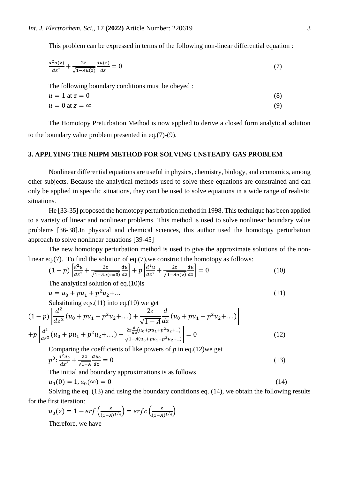This problem can be expressed in terms of the following non-linear differential equation :

$$
\frac{d^2u(z)}{dz^2} + \frac{2z}{\sqrt{1 - Au(z)}} \frac{du(z)}{dz} = 0
$$
\n(7)

The following boundary conditions must be obeyed :

$$
u = 1 \text{ at } z = 0 \tag{8}
$$
  
 
$$
u = 0 \text{ at } z = \infty \tag{9}
$$

The Homotopy Preturbation Method is now applied to derive a closed form analytical solution to the boundary value problem presented in eq.(7)-(9).

## **3. APPLYING THE NHPM METHOD FOR SOLVING UNSTEADY GAS PROBLEM**

Nonlinear differential equations are useful in physics, chemistry, biology, and economics, among other subjects. Because the analytical methods used to solve these equations are constrained and can only be applied in specific situations, they can't be used to solve equations in a wide range of realistic situations.

He [33-35] proposed the homotopy perturbation method in 1998. This technique has been applied to a variety of linear and nonlinear problems. This method is used to solve nonlinear boundary value problems [36-38].In physical and chemical sciences, this author used the homotopy perturbation approach to solve nonlinear equations [39-45]

The new homotopy perturbation method is used to give the approximate solutions of the nonlinear eq.(7). To find the solution of eq.(7),we construct the homotopy as follows:

$$
(1-p)\left[\frac{d^2u}{dz^2} + \frac{2z}{\sqrt{1-Au(z=0)}}\frac{du}{dz}\right] + p\left[\frac{d^2u}{dz^2} + \frac{2z}{\sqrt{1-Au(z)}}\frac{du}{dz}\right] = 0
$$
(10)

The analytical solution of eq.(10)is

$$
u = u_0 + pu_1 + p^2 u_2 + \dots \tag{11}
$$

Substituting eqs.(11) into eq.(10) we get

$$
(1-p)\left[\frac{d^2}{dz^2}(u_0+pu_1+p^2u_2+\dots)+\frac{2z}{\sqrt{1-A}}\frac{d}{dz}(u_0+pu_1+p^2u_2+\dots)\right] +p\left[\frac{d^2}{dz^2}(u_0+pu_1+p^2u_2+\dots)+\frac{2z\frac{d}{dz}(u_0+pu_1+p^2u_2+\dots)}{\sqrt{1-A(u_0+pu_1+p^2u_2+\dots)}}\right]=0
$$
\n(12)

Comparing the coefficients of like powers of *p* in eq.(12)we get  
\n
$$
p^{0}: \frac{d^{2}u_{0}}{dz^{2}} + \frac{2z}{\sqrt{1-A}} \frac{du_{0}}{dz} = 0
$$
\n(13)

The initial and boundary approximations is as follows

$$
u_0(0) = 1, u_0(\infty) = 0 \tag{14}
$$

Solving the eq. (13) and using the boundary conditions eq. (14), we obtain the following results for the first iteration:

$$
u_0(z) = 1 - erf\left(\frac{z}{(1-A)^{1/4}}\right) = erfc\left(\frac{z}{(1-A)^{1/4}}\right)
$$

Therefore, we have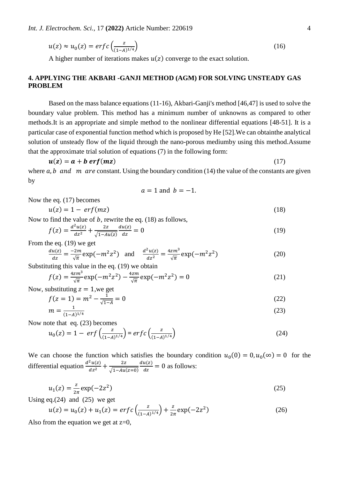$$
u(z) \approx u_0(z) = erf c\left(\frac{z}{(1-A)^{1/4}}\right) \tag{16}
$$

A higher number of iterations makes  $u(z)$  converge to the exact solution.

## **4. APPLYING THE AKBARI -GANJI METHOD (AGM) FOR SOLVING UNSTEADY GAS PROBLEM**

Based on the mass balance equations (11-16), Akbari-Ganji's method [46,47] is used to solve the boundary value problem. This method has a minimum number of unknowns as compared to other methods.It is an appropriate and simple method to the nonlinear differential equations [48-51]. It is a particular case of exponential function method which is proposed by He [52].We can obtainthe analytical solution of unsteady flow of the liquid through the nano-porous mediumby using this method.Assume that the approximate trial solution of equations (7) in the following form:

$$
u(z) = a + b \, erf(mz) \tag{17}
$$

where  $a, b$  and  $m$  are constant. Using the boundary condition (14) the value of the constants are given by

$$
a=1 \text{ and } b=-1.
$$

$$
u(z) = 1 - erf(mz) \tag{18}
$$

Now to find the value of  $b$ , rewrite the eq. (18) as follows,

$$
f(z) = \frac{d^2u(z)}{dz^2} + \frac{2z}{\sqrt{1 - Au(z)}} \frac{du(z)}{dz} = 0
$$
\n(19)

From the eq. (19) we get

Now the eq. (17) becomes

$$
\frac{du(z)}{dz} = \frac{-2m}{\sqrt{\pi}} \exp(-m^2 z^2) \quad \text{and} \quad \frac{d^2 u(z)}{dz^2} = \frac{4z m^3}{\sqrt{\pi}} \exp(-m^2 z^2) \tag{20}
$$

Substituting this value in the eq. (19) we obtain

$$
f(z) = \frac{4zm^3}{\sqrt{\pi}} \exp(-m^2 z^2) - \frac{4zm}{\sqrt{\pi}} \exp(-m^2 z^2) = 0
$$
 (21)

Now, substituting  $z = 1$ , we get

$$
f(z=1) = m^2 - \frac{1}{\sqrt{1-A}} = 0
$$
\n(22)

$$
m = \frac{1}{(1-A)^{1/4}}\tag{23}
$$

Now note that eq. (23) becomes

$$
u_0(z) = 1 - erf\left(\frac{z}{(1-A)^{1/4}}\right) = erf\left(\frac{z}{(1-A)^{1/4}}\right)
$$
 (24)

We can choose the function which satisfies the boundary condition  $u_0(0) = 0, u_0(\infty) = 0$  for the differential equation  $\frac{d^2u(z)}{dz^2}$  $\frac{2u(z)}{dz^2} + \frac{2z}{\sqrt{1-Au}}$  $\sqrt{1-Au(z=0)}$  $du(z)$  $\frac{u(z)}{dz} = 0$  as follows:

$$
u_1(z) = \frac{z}{2\pi} \exp(-2z^2)
$$
 (25)

Using eq. $(24)$  and  $(25)$  we get

$$
u(z) = u_0(z) + u_1(z) = \operatorname{erfc}\left(\frac{z}{(1-A)^{1/4}}\right) + \frac{z}{2\pi} \exp(-2z^2)
$$
 (26)

Also from the equation we get at  $z=0$ ,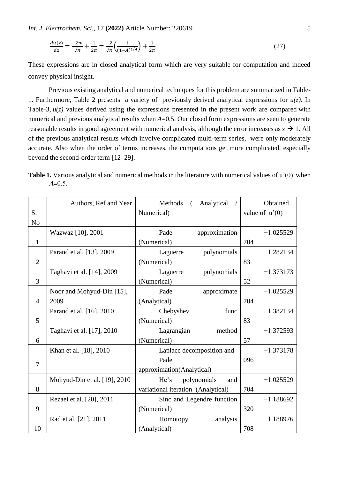*Int. J. Electrochem. Sci.,* 17 **(2022)** Article Number: 220619 5

$$
\frac{du(z)}{dz} = \frac{-2m}{\sqrt{\pi}} + \frac{1}{2\pi} = \frac{-2}{\sqrt{\pi}} \left( \frac{1}{(1-A)^{1/4}} \right) + \frac{1}{2\pi}
$$
(27)

These expressions are in closed analytical form which are very suitable for computation and indeed convey physical insight.

Previous existing analytical and numerical techniques for this problem are summarized in Table-1. Furthermore, Table 2 presents a variety of previously derived analytical expressions for  $u(z)$ . In Table-3,  $u(z)$  values derived using the expressions presented in the present work are compared with numerical and previous analytical results when *A*=0.5. Our closed form expressions are seen to generate reasonable results in good agreement with numerical analysis, although the error increases as  $z \rightarrow 1$ . All of the previous analytical results which involve complicated multi-term series, were only moderately accurate. Also when the order of terms increases, the computations get more complicated, especially beyond the second-order term [12–29].

**Table 1.** Various analytical and numerical methods in the literature with numerical values of u'(0) when  $A=0.5$ .

|                | Authors, Ref and Year        | Methods<br>Analytical<br>$\left($  | Obtained         |  |
|----------------|------------------------------|------------------------------------|------------------|--|
| S.             |                              | Numerical)                         | value of $u'(0)$ |  |
| No             |                              |                                    |                  |  |
|                | Wazwaz [10], 2001            | Pade<br>approximation              | $-1.025529$      |  |
| $\mathbf{1}$   |                              | (Numerical)                        | 704              |  |
|                | Parand et al. [13], 2009     | polynomials<br>Laguerre            | $-1.282134$      |  |
| $\mathfrak{2}$ |                              | (Numerical)                        | 83               |  |
|                | Taghavi et al. [14], 2009    | polynomials<br>Laguerre            | $-1.373173$      |  |
| 3              |                              | (Numerical)                        | 52               |  |
|                | Noor and Mohyud-Din [15],    | Pade<br>approximate                | $-1.025529$      |  |
| $\overline{4}$ | 2009                         | (Analytical)                       | 704              |  |
|                | Parand et al. [16], 2010     | func<br>Chebyshev                  | $-1.382134$      |  |
| 5              |                              | (Numerical)                        | 83               |  |
|                | Taghavi et al. [17], 2010    | Lagrangian<br>method               | $-1.372593$      |  |
| 6              |                              | (Numerical)                        | 57               |  |
|                | Khan et al. [18], 2010       | Laplace decomposition and          | $-1.373178$      |  |
|                |                              | Pade                               | 096              |  |
| $\overline{7}$ |                              | approximation(Analytical)          |                  |  |
|                | Mohyud-Din et al. [19], 2010 | polynomials<br>He's<br>and         | $-1.025529$      |  |
| 8              |                              | variational iteration (Analytical) | 704              |  |
|                | Rezaei et al. [20], 2011     | Sinc and Legendre function         | $-1.188692$      |  |
| 9              |                              | (Numerical)                        | 320              |  |
|                | Rad et al. [21], 2011        | analysis<br>Homotopy               | $-1.188976$      |  |
| 10             |                              | (Analytical)                       | 708              |  |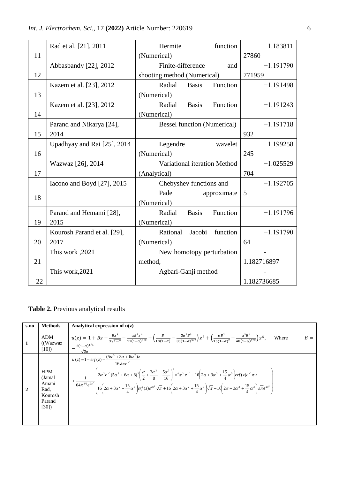|  |  | <i>Int. J. Electrochem. Sci., 17 (2022) Article Number: 220619</i> |  |
|--|--|--------------------------------------------------------------------|--|
|--|--|--------------------------------------------------------------------|--|

|    | Rad et al. [21], 2011       | Hermite<br>function                | $-1.183811$ |  |
|----|-----------------------------|------------------------------------|-------------|--|
| 11 |                             | (Numerical)                        | 27860       |  |
|    | Abbasbandy [22], 2012       | Finite-difference<br>and           | $-1.191790$ |  |
| 12 |                             | shooting method (Numerical)        | 771959      |  |
|    | Kazem et al. [23], 2012     | <b>Basis</b><br>Function<br>Radial | $-1.191498$ |  |
| 13 |                             | (Numerical)                        |             |  |
|    | Kazem et al. [23], 2012     | Function<br>Radial<br><b>Basis</b> | $-1.191243$ |  |
| 14 |                             | (Numerical)                        |             |  |
|    | Parand and Nikarya [24],    | <b>Bessel function (Numerical)</b> | $-1.191718$ |  |
| 15 | 2014                        |                                    | 932         |  |
|    | Upadhyay and Rai [25], 2014 | Legendre<br>wavelet                | $-1.199258$ |  |
| 16 |                             | (Numerical)                        | 245         |  |
|    | Wazwaz [26], 2014           | Variational iteration Method       | $-1.025529$ |  |
| 17 |                             | (Analytical)                       | 704         |  |
|    | Iacono and Boyd [27], 2015  | Chebyshev functions and            | $-1.192705$ |  |
| 18 |                             | Pade<br>approximate                | 5           |  |
|    |                             | (Numerical)                        |             |  |
|    | Parand and Hemami [28],     | Function<br>Radial<br><b>Basis</b> | $-1.191796$ |  |
| 19 | 2015                        | (Numerical)                        |             |  |
|    | Kourosh Parand et al. [29], | function<br>Rational<br>Jacobi     | $-1.191790$ |  |
| 20 | 2017                        | (Numerical)                        | 64          |  |
|    | This work, 2021             | New homotopy perturbation          |             |  |
| 21 |                             | method,                            | 1.182716897 |  |
|    | This work, 2021             | Agbari-Ganji method                |             |  |
| 22 |                             |                                    | 1.182736685 |  |

**Table 2.** Previous analytical results

| s.no           | <b>Methods</b>                                                     | Analytical expression of $u(z)$                                                                                                                                                                                                                                                                                                                 |
|----------------|--------------------------------------------------------------------|-------------------------------------------------------------------------------------------------------------------------------------------------------------------------------------------------------------------------------------------------------------------------------------------------------------------------------------------------|
| 1              | <b>ADM</b><br>(Wazwaz)<br>[10]                                     | $u(z) = 1 + Bz - \frac{Bz^3}{3\sqrt{1-\alpha}} - \frac{\alpha B^2 z^4}{12(1-\alpha)^{3/2}} + \left(\frac{B}{10(1-\alpha)} - \frac{3\alpha^2 B^3}{80(1-\alpha)^{5/2}}\right)z^5 + \left(\frac{\alpha B^2}{15(1-\alpha)^2} - \frac{\alpha^3 B^4}{48(1-\alpha)^{7/2}}\right)z^6,$<br>Where<br>$B =$<br>$-\frac{2(1-\alpha)^{1/4}}{\sqrt{3\alpha}}$ |
| $\overline{2}$ | <b>HPM</b><br>(Jamal<br>Amani<br>Rad,<br>Kourosh<br>Parand<br>[30] | $u(z) = 1 - erf(z) - \frac{(5\alpha^3 + 8\alpha + 6\alpha^2)z}{16\sqrt{\pi}e^{x^2}}$<br>$+\frac{1}{64\pi^{3/2}e^{2x^2}}\left[2\alpha^2e^{x^2}(5\alpha^3+6\alpha+8)^2\left(\frac{\alpha}{2}+\frac{3\alpha^2}{8}+\frac{5\alpha^3}{16}\right)^2x^4\pi^2e^{x^2}+16\left(2\alpha+3\alpha^2+\frac{15}{4}\alpha^3\right)erf(z)e^{x^2}\pi z\right]$     |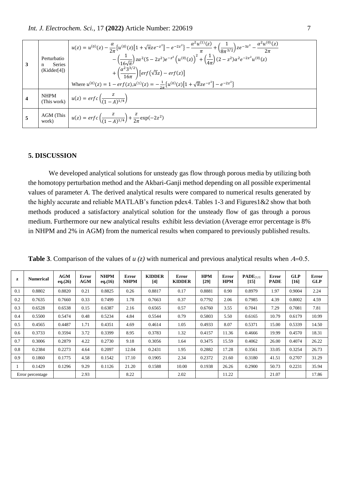| 3 | Perturbatio<br><b>Series</b><br>n<br>(Kidder[4]) | $u(z) = u^{(0)}(z) - \frac{\alpha}{2\pi} \left\{ u^{(0)}(z) \left[ 1 + \sqrt{\pi} z e^{-z^2} \right] - e^{-2z^2} \right\} - \frac{\alpha^2 u^{(1)}(z)}{\pi} + \left( \frac{1}{8\pi^{3/2}} \right) z e^{-3z^2} - \frac{\alpha^2 u^{(0)}(z)}{2\pi}$<br>$-\left(\frac{1}{16\sqrt{\pi}}\right)z\alpha^2(5-2z^2)e^{-z^2}\left(u^{(0)}(z)\right)^2+\left(\frac{1}{4\pi}\right)(2-z^2)\alpha^2e^{-2z^2}u^{(0)}(z)$<br>$+\left(\frac{\alpha^2 3^{3/2}}{16\pi}\right)[erf(\sqrt{3}z)-erf(z)]$<br>Where $u^{(0)}(z) = 1 - erf(z)$ , $u^{(1)}(z) = -\frac{1}{2\pi} \{u^{(0)}(z)[1 + \sqrt{\pi}ze^{-z^2}] - e^{-2z^2}\}$ |
|---|--------------------------------------------------|--------------------------------------------------------------------------------------------------------------------------------------------------------------------------------------------------------------------------------------------------------------------------------------------------------------------------------------------------------------------------------------------------------------------------------------------------------------------------------------------------------------------------------------------------------------------------------------------------------------|
|   |                                                  | NHPM<br>(This work) $u(z) = erfc\left(\frac{z}{(1-A)^{1/4}}\right)$                                                                                                                                                                                                                                                                                                                                                                                                                                                                                                                                          |
|   |                                                  | AGM (This $u(z) = erf c \left( \frac{z}{(1-A)^{1/4}} \right) + \frac{z}{2\pi} exp(-2z^2)$                                                                                                                                                                                                                                                                                                                                                                                                                                                                                                                    |

## **5. DISCUSSION**

We developed analytical solutions for unsteady gas flow through porous media by utilizing both the homotopy perturbation method and the Akbari-Ganji method depending on all possible experimental values of parameter *A*. The derived analytical results were compared to numerical results generated by the highly accurate and reliable MATLAB's function pdex4. Tables 1-3 and Figures1&2 show that both methods produced a satisfactory analytical solution for the unsteady flow of gas through a porous medium. Furthermore our new analytical results exhibit less deviation (Average error percentage is 8% in NHPM and 2% in AGM) from the numerical results when compared to previously published results.

| z                | <b>Numerical</b> | <b>AGM</b><br>eq. (26) | <b>Error</b><br><b>AGM</b> | <b>NHPM</b><br>eq.(16) | Error<br><b>NHPM</b> | <b>KIDDER</b><br>$[4]$ | Error<br><b>KIDDER</b> | <b>HPM</b><br>$[29]$ | Error<br><b>HPM</b> | $\mathbf{PADE}_{[3,3]}$<br>$[15]$ | <b>Error</b><br><b>PADE</b> | <b>GLP</b><br>[16] | <b>Error</b><br><b>GLP</b> |
|------------------|------------------|------------------------|----------------------------|------------------------|----------------------|------------------------|------------------------|----------------------|---------------------|-----------------------------------|-----------------------------|--------------------|----------------------------|
| 0.1              | 0.8802           | 0.8820                 | 0.21                       | 0.8825                 | 0.26                 | 0.8817                 | 0.17                   | 0.8881               | 0.90                | 0.8979                            | 1.97                        | 0.9004             | 2.24                       |
| 0.2              | 0.7635           | 0.7660                 | 0.33                       | 0.7499                 | 1.78                 | 0.7663                 | 0.37                   | 0.7792               | 2.06                | 0.7985                            | 4.39                        | 0.8002             | 4.59                       |
| 0.3              | 0.6528           | 0.6538                 | 0.15                       | 0.6387                 | 2.16                 | 0.6565                 | 0.57                   | 0.6760               | 3.55                | 0.7041                            | 7.29                        | 0.7081             | 7.81                       |
| 0.4              | 0.5500           | 0.5474                 | 0.48                       | 0.5234                 | 4.84                 | 0.5544                 | 0.79                   | 0.5803               | 5.50                | 0.6165                            | 10.79                       | 0.6179             | 10.99                      |
| 0.5              | 0.4565           | 0.4487                 | 1.71                       | 0.4351                 | 4.69                 | 0.4614                 | 1.05                   | 0.4933               | 8.07                | 0.5371                            | 15.00                       | 0.5339             | 14.50                      |
| 0.6              | 0.3733           | 0.3594                 | 3.72                       | 0.3399                 | 8.95                 | 0.3783                 | 1.32                   | 0.4157               | 11.36               | 0.4666                            | 19.99                       | 0.4570             | 18.31                      |
| 0.7              | 0.3006           | 0.2879                 | 4.22                       | 0.2730                 | 9.18                 | 0.3056                 | 1.64                   | 0.3475               | 15.59               | 0.4062                            | 26.00                       | 0.4074             | 26.22                      |
| 0.8              | 0.2384           | 0.2273                 | 4.64                       | 0.2097                 | 12.04                | 0.2431                 | 1.95                   | 0.2882               | 17.28               | 0.3561                            | 33.05                       | 0.3254             | 26.73                      |
| 0.9              | 0.1860           | 0.1775                 | 4.58                       | 0.1542                 | 17.10                | 0.1905                 | 2.34                   | 0.2372               | 21.60               | 0.3180                            | 41.51                       | 0.2707             | 31.29                      |
|                  | 0.1429           | 0.1296                 | 9.29                       | 0.1126                 | 21.20                | 0.1588                 | 10.00                  | 0.1938               | 26.26               | 0.2900                            | 50.73                       | 0.2231             | 35.94                      |
| Error percentage |                  |                        | 2.93                       |                        | 8.22                 |                        | 2.02                   |                      | 11.22               |                                   | 21.07                       |                    | 17.86                      |

**Table 3**. Comparison of the values of  $u(z)$  with numerical and previous analytical results when  $A=0.5$ .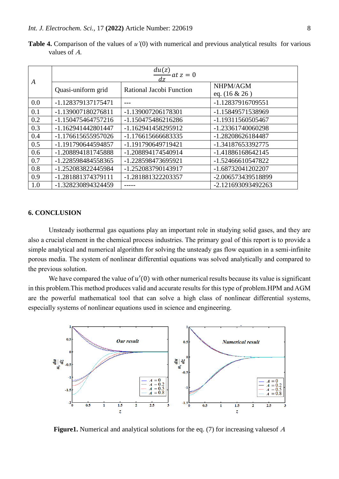| A   | $\frac{du(z)}{du}$ at $z = 0$ |                          |                              |  |  |  |  |  |
|-----|-------------------------------|--------------------------|------------------------------|--|--|--|--|--|
|     | Quasi-uniform grid            | Rational Jacobi Function | NHPM/AGM<br>eq. $(16 \& 26)$ |  |  |  |  |  |
| 0.0 | -1.128379137175471            |                          | -1.12837916709551            |  |  |  |  |  |
| 0.1 | -1.139007180276811            | -1.139007206178301       | -1.15849571538969            |  |  |  |  |  |
| 0.2 | -1.150475464757216            | -1.150475486216286       | -1.19311560505467            |  |  |  |  |  |
| 0.3 | -1.162941442801447            | -1.162941458295912       | -1.23361740060298            |  |  |  |  |  |
| 0.4 | -1.176615655957026            | -1.176615666683335       | -1.28208626184487            |  |  |  |  |  |
| 0.5 | -1.191790644594857            | -1.191790649719421       | -1.34187653392775            |  |  |  |  |  |
| 0.6 | -1.208894181745888            | -1.208894174540914       | -1.41886168642145            |  |  |  |  |  |
| 0.7 | -1.228598484558365            | -1.228598473695921       | -1.52466610547822            |  |  |  |  |  |
| 0.8 | -1.252083822445984            | -1.252083790143917       | -1.68732041202207            |  |  |  |  |  |
| 0.9 | -1.281881374379111            | -1.281881322203357       | -2.006573439518899           |  |  |  |  |  |
| 1.0 | -1.328230894324459            |                          | -2.121693093492263           |  |  |  |  |  |

**Table 4.** Comparison of the values of *u'*(0) with numerical and previous analytical results for various values of  $A$ .

### **6. CONCLUSION**

Unsteady isothermal gas equations play an important role in studying solid gases, and they are also a crucial element in the chemical process industries. The primary goal of this report is to provide a simple analytical and numerical algorithm for solving the unsteady gas flow equation in a semi-infinite porous media. The system of nonlinear differential equations was solved analytically and compared to the previous solution.

We have compared the value of  $u'(0)$  with other numerical results because its value is significant in this problem.This method produces valid and accurate results for this type of problem.HPM and AGM are the powerful mathematical tool that can solve a high class of nonlinear differential systems, especially systems of nonlinear equations used in science and engineering.



**Figure1.** Numerical and analytical solutions for the eq. (7) for increasing values of A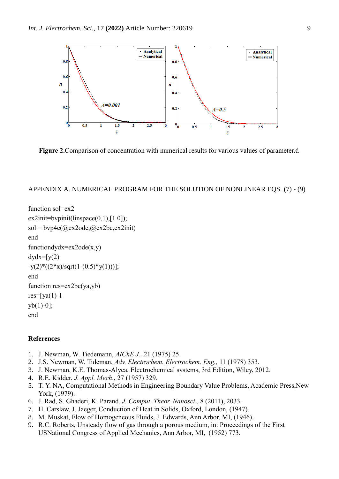

**Figure 2.**Comparison of concentration with numerical results for various values of parameter*A.*

#### APPENDIX A. NUMERICAL PROGRAM FOR THE SOLUTION OF NONLINEAR EQS. (7) - (9)

```
function sol=ex2
ex2init = byprint(linspace(0,1), [1\ 0]);sol = bvp4c(Qex2ode,Qex2bc,ex2init)end
functiondydx=ex2ode(x,y)dydx=[y(2)]-y(2)*( (2*x)/sqrt(1-(0.5)*y(1))];
end
function res=ex2bc(ya,yb)
res=[ya(1)-1]yb(1)-0];
end
```
### **References**

- 1. J. Newman, W. Tiedemann, *AIChE J.,* 21 (1975) 25.
- 2. J.S. Newman, W. Tideman, *Adv. Electrochem. Electrochem. Eng.,* 11 (1978) 353.
- 3. J. Newman, K.E. Thomas-Alyea, Electrochemical systems, 3rd Edition, Wiley, 2012.
- 4. R.E. Kidder, *J. Appl. Mech*., 27 (1957) 329.
- 5. T. Y. NA, Computational Methods in Engineering Boundary Value Problems, Academic Press,New York, (1979).
- 6. J. Rad, S. Ghaderi, K. Parand, *J. Comput. Theor. Nanosci*., 8 (2011), 2033.
- 7. H. Carslaw, J. Jaeger, Conduction of Heat in Solids, Oxford, London, (1947).
- 8. M. Muskat, Flow of Homogeneous Fluids, J. Edwards, Ann Arbor, MI, (1946).
- 9. R.C. Roberts, Unsteady flow of gas through a porous medium, in: Proceedings of the First USNational Congress of Applied Mechanics, Ann Arbor, MI, (1952) 773.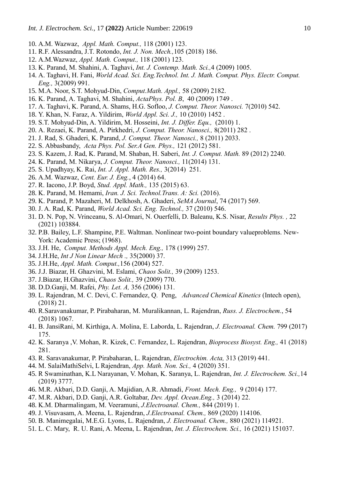- 10. A.M. Wazwaz, *Appl. Math. Comput.,* 118 (2001) 123.
- 11. R.F. Alessandra, J.T. Rotondo, *Int. J. Non. Mech.,*105 (2018) 186.
- 12. A.M.Wazwaz, *Appl. Math. Comput.,* 118 (2001) 123.
- 13. K. Parand, M. Shahini, A. Taghavi, *Int. J. Contemp. Math. Sci.,*4 (2009) 1005.
- 14. A. Taghavi, H. Fani, *World Acad. Sci. Eng.Technol. Int. J. Math. Comput. Phys. Electr. Comput. Eng.,* 3(2009) 991.
- 15. M.A. Noor, S.T. Mohyud-Din, *Comput.Math. Appl.,* 58 (2009) 2182.
- 16. K. Parand, A. Taghavi, M. Shahini, *ActaPhys. Pol. B*, 40 (2009) 1749 .
- 17. A. Taghavi, K. Parand, A. Shams, H.G. Sofloo, *J. Comput. Theor. Nanosci.* 7(2010) 542.
- 18. Y. Khan, N. Faraz, A. Yildirim, *World Appl. Sci. J.,* 10 (2010) 1452 .
- 19. S.T. Mohyud-Din, A. Yildirim, M. Hosseini, *Int. J. Differ. Equ.,* (2010) 1.
- 20. A. Rezaei, K. Parand, A. Pirkhedri, *J. Comput. Theor. Nanosci.,* 8(2011) 282 .
- 21. J. Rad, S. Ghaderi, K. Parand, *J. Comput. Theor. Nanosci.,* 8 (2011) 2033.
- 22. S. Abbasbandy, *Acta Phys. Pol. Ser.A Gen. Phys.,* 121 (2012) 581.
- 23. S. Kazem, J. Rad, K. Parand, M. Shaban, H. Saberi, *Int. J. Comput. Math.* 89 (2012) 2240.
- 24. K. Parand, M. Nikarya, *J. Comput. Theor. Nanosci.,* 11(2014) 131.
- 25. S. Upadhyay, K. Rai, *Int. J. Appl. Math. Res.,* 3(2014) 251.
- 26. A.M. Wazwaz, *Cent. Eur. J. Eng.*, 4 (2014) 64.
- 27. R. Iacono, J.P. Boyd, *Stud. Appl. Math.,* 135 (2015) 63.
- 28. K. Parand, M. Hemami, *Iran. J. Sci. Technol.Trans. A: Sci.* (2016).
- 29. K. Parand, P. Mazaheri, M. Delkhosh, A. Ghaderi, *SeMA Journal*, 74 (2017) 569.
- 30. J. A. Rad, K. Parand, *World Acad. Sci. Eng. Technol.,* 37 (2010) 546.
- 31. D. N. Pop, N. Vrinceanu, S. Al-Omari, N. Ouerfelli, D. Baleanu, K.S. Nisar, *Results Phys. ,* 22 (2021) 103884.
- 32. P.B. Bailey, L.F. Shampine, P.E. Waltman. Nonlinear two-point boundary valueproblems. New-York: Academic Press; (1968).
- 33. J.H. He, *Comput. Methods Appl. Mech. Eng.,* 178 (1999) 257.
- 34. J.H.He, *Int J Non Linear Mech .,* 35(2000) 37.
- 35. J.H.He, *Appl. Math. Comput.,*156 (2004) 527.
- 36. J.J. Biazar, H. Ghazvini, M. Eslami, *Chaos Solit.,* 39 (2009) 1253.
- 37. J.Biazar, H.Ghazvini, *Chaos Solit.,* 39 (2009) 770.
- 38. D.D.Ganji, M. Rafei, *Phy. Let. A,* 356 (2006) 131.
- 39. L. Rajendran, M. C. Devi, C. Fernandez, Q. Peng, *Advanced Chemical Kinetics* (Intech open), (2018) 21.
- 40. R.Saravanakumar, P. Pirabaharan, M. Muralikannan, L. Rajendran, *Russ. J. Electrochem.*, 54 (2018) 1067.
- 41. B. JansiRani, M. Kirthiga, A. Molina, E. Laborda, L. Rajendran, *J. Electroanal. Chem.* 799 (2017) 175.
- 42. K. Saranya ,V. Mohan, R. Kizek, C. Fernandez, L. Rajendran, *Bioprocess Biosyst. Eng.,* 41 (2018) 281.
- 43. R. Saravanakumar, P. Pirabaharan, L. Rajendran, *Electrochim. Acta,* 313 (2019) 441.
- 44. M. SalaiMathiSelvi, L Rajendran, *App. Math. Non. Sci.,* 4 (2020) 351.
- 45. R Swaminathan, K.L Narayanan, V. Mohan, K. Saranya, L. Rajendran, *Int. J. Electrochem. Sci.,*14 (2019) 3777.
- 46. M.R. Akbari, D.D. Ganji, A. Majidian, A.R. Ahmadi, *Front. Mech. Eng.,* 9 (2014) 177.
- 47. M.R. Akbari, D.D. Ganji, A.R. Goltabar, *Dev. Appl. Ocean.Eng.,* 3 (2014) 22.
- 48. K.M. Dharmalingam, M. Veeramuni, *J.Electroanal. Chem.,* 844 (2019) 1.
- 49. J. Visuvasam, A. Meena, L. Rajendran, *J.Electroanal. Chem.,* 869 (2020) 114106.
- 50. B. Manimegalai, M.E.G. Lyons, L. Rajendran, *J. Electroanal. Chem.,* 880 (2021) 114921.
- 51. L. C. Mary, R. U. Rani, A. Meena, L. Rajendran, *Int. J. Electrochem. Sci.,* 16 (2021) 151037.